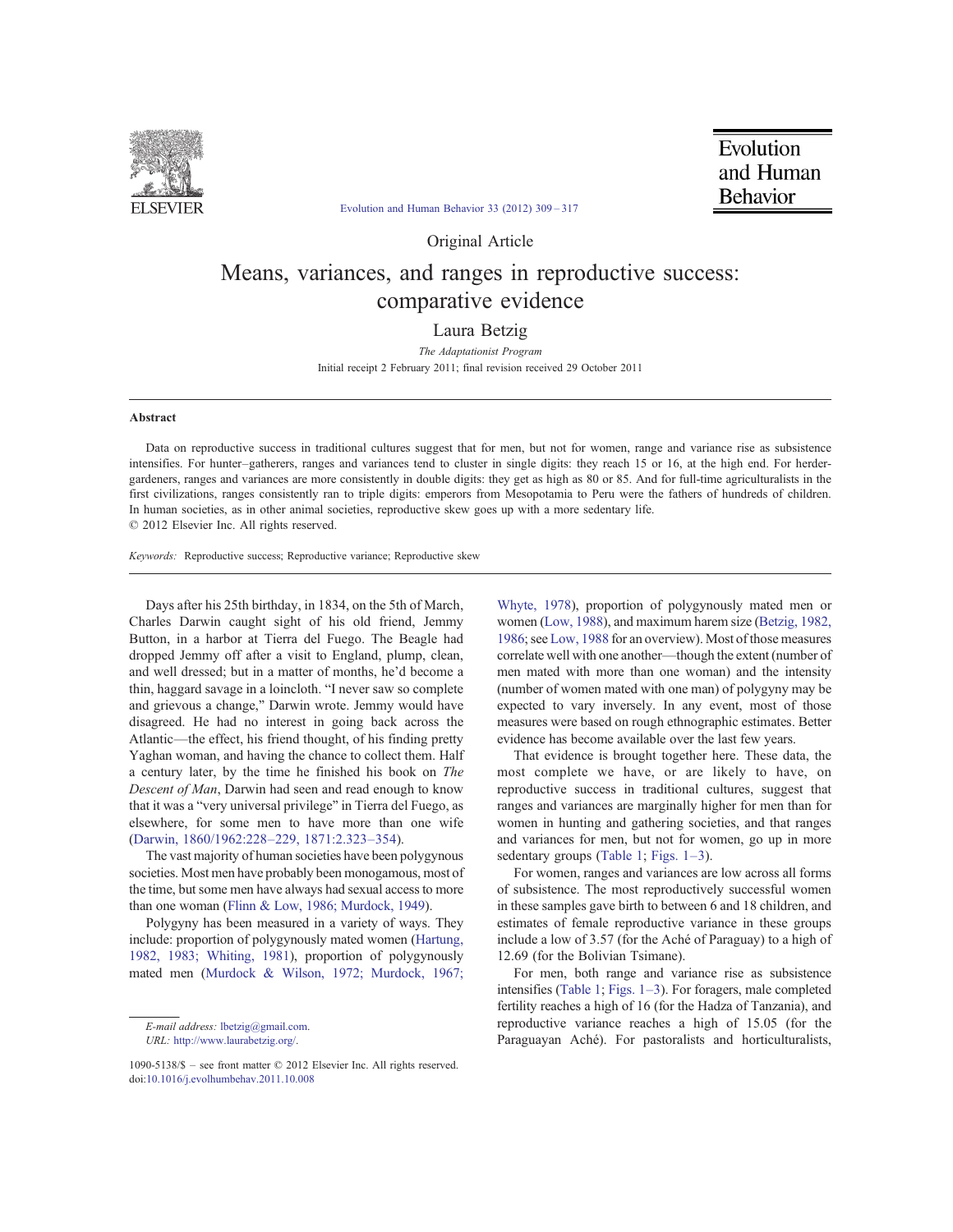

Evolution and Human Behavior 33 (2012) 309–317

Evolution and Human **Behavior** 

Original Article

# Means, variances, and ranges in reproductive success: comparative evidence

Laura Betzig

The Adaptationist Program Initial receipt 2 February 2011; final revision received 29 October 2011

# Abstract

Data on reproductive success in traditional cultures suggest that for men, but not for women, range and variance rise as subsistence intensifies. For hunter–gatherers, ranges and variances tend to cluster in single digits: they reach 15 or 16, at the high end. For herdergardeners, ranges and variances are more consistently in double digits: they get as high as 80 or 85. And for full-time agriculturalists in the first civilizations, ranges consistently ran to triple digits: emperors from Mesopotamia to Peru were the fathers of hundreds of children. In human societies, as in other animal societies, reproductive skew goes up with a more sedentary life. © 2012 Elsevier Inc. All rights reserved.

Keywords: Reproductive success; Reproductive variance; Reproductive skew

Days after his 25th birthday, in 1834, on the 5th of March, Charles Darwin caught sight of his old friend, Jemmy Button, in a harbor at Tierra del Fuego. The Beagle had dropped Jemmy off after a visit to England, plump, clean, and well dressed; but in a matter of months, he'd become a thin, haggard savage in a loincloth. "I never saw so complete and grievous a change," Darwin wrote. Jemmy would have disagreed. He had no interest in going back across the Atlantic—the effect, his friend thought, of his finding pretty Yaghan woman, and having the chance to collect them. Half a century later, by the time he finished his book on The Descent of Man, Darwin had seen and read enough to know that it was a "very universal privilege" in Tierra del Fuego, as elsewhere, for some men to have more than one wife (Darwin, 1860/1962:228–229, 1871:2.323–354).

The vast majority of human societies have been polygynous societies. Most men have probably been monogamous, most of the time, but some men have always had sexual access to more than one woman (Flinn & Low, 1986; Murdock, 1949).

Polygyny has been measured in a variety of ways. They include: proportion of polygynously mated women (Hartung, 1982, 1983; Whiting, 1981), proportion of polygynously mated men (Murdock & Wilson, 1972; Murdock, 1967;

URL: http://www.laurabetzig.org/.

Whyte, 1978), proportion of polygynously mated men or women (Low, 1988), and maximum harem size (Betzig, 1982, 1986; see Low, 1988 for an overview). Most of those measures correlate well with one another—though the extent (number of men mated with more than one woman) and the intensity (number of women mated with one man) of polygyny may be expected to vary inversely. In any event, most of those measures were based on rough ethnographic estimates. Better evidence has become available over the last few years.

That evidence is brought together here. These data, the most complete we have, or are likely to have, on reproductive success in traditional cultures, suggest that ranges and variances are marginally higher for men than for women in hunting and gathering societies, and that ranges and variances for men, but not for women, go up in more sedentary groups (Table 1; Figs. 1–3).

For women, ranges and variances are low across all forms of subsistence. The most reproductively successful women in these samples gave birth to between 6 and 18 children, and estimates of female reproductive variance in these groups include a low of 3.57 (for the Aché of Paraguay) to a high of 12.69 (for the Bolivian Tsimane).

For men, both range and variance rise as subsistence intensifies (Table 1; Figs. 1–3). For foragers, male completed fertility reaches a high of 16 (for the Hadza of Tanzania), and reproductive variance reaches a high of 15.05 (for the Paraguayan Aché). For pastoralists and horticulturalists,

E-mail address: lbetzig@gmail.com.

<sup>1090-5138/\$</sup> – see front matter © 2012 Elsevier Inc. All rights reserved. doi:10.1016/j.evolhumbehav.2011.10.008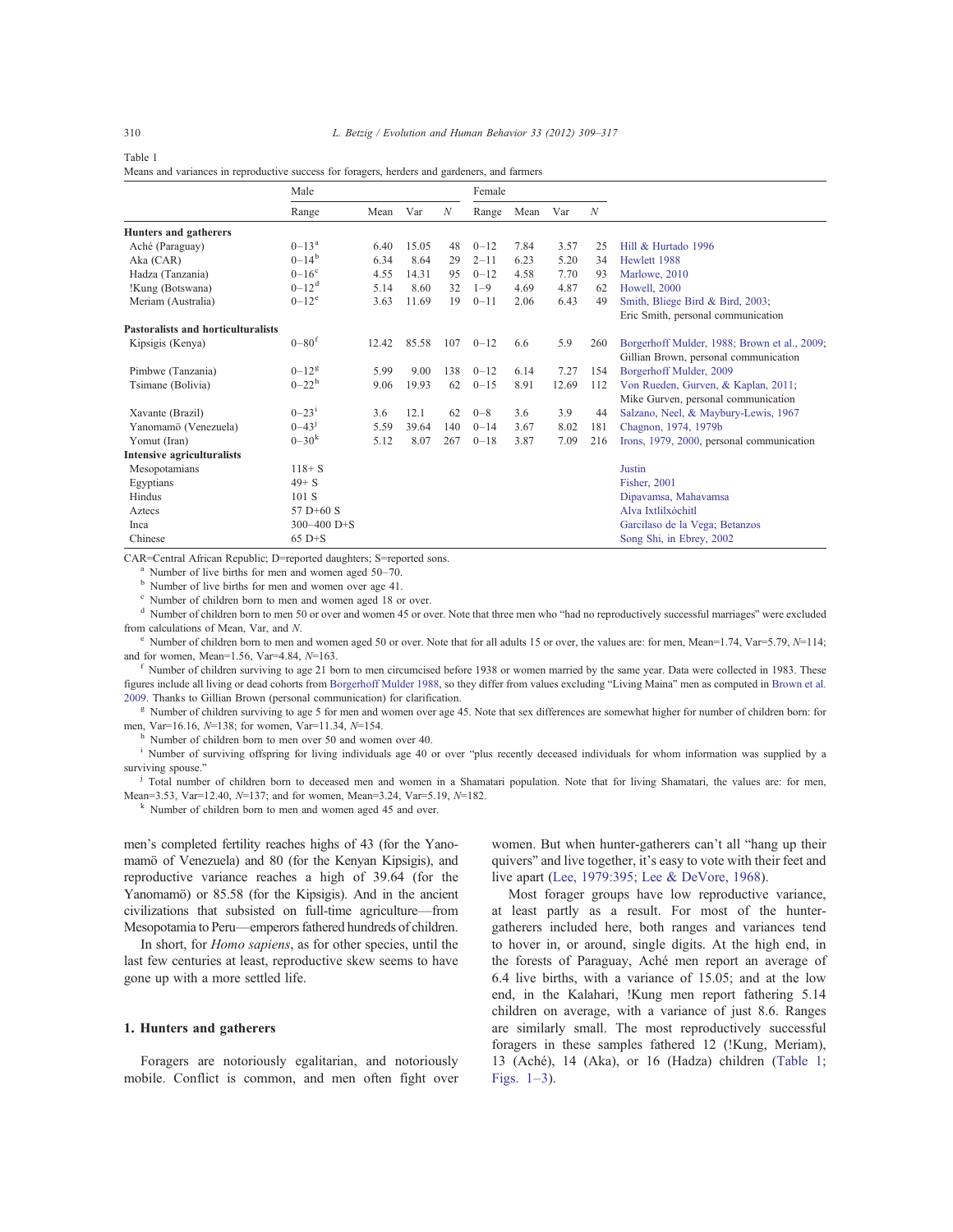| Table 1                                                                                      |  |
|----------------------------------------------------------------------------------------------|--|
| Means and variances in reproductive success for foragers, herders and gardeners, and farmers |  |

|                                           | Male                  |       |       |                  | Female   |      |       |                  |                                              |
|-------------------------------------------|-----------------------|-------|-------|------------------|----------|------|-------|------------------|----------------------------------------------|
|                                           | Range                 | Mean  | Var   | $\boldsymbol{N}$ | Range    | Mean | Var   | $\boldsymbol{N}$ |                                              |
| Hunters and gatherers                     |                       |       |       |                  |          |      |       |                  |                                              |
| Aché (Paraguay)                           | $0 - 13^{\circ}$      | 6.40  | 15.05 | 48               | $0 - 12$ | 7.84 | 3.57  | 25               | Hill & Hurtado 1996                          |
| Aka (CAR)                                 | $0 - 14^b$            | 6.34  | 8.64  | 29               | $2 - 11$ | 6.23 | 5.20  | 34               | Hewlett 1988                                 |
| Hadza (Tanzania)                          | $0-16^\circ$          | 4.55  | 14.31 | 95               | $0 - 12$ | 4.58 | 7.70  | 93               | Marlowe, 2010                                |
| !Kung (Botswana)                          | $0 - 12^d$            | 5.14  | 8.60  | 32               | $1 - 9$  | 4.69 | 4.87  | 62               | <b>Howell</b> , 2000                         |
| Meriam (Australia)                        | $0 - 12^e$            | 3.63  | 11.69 | 19               | $0 - 11$ | 2.06 | 6.43  | 49               | Smith, Bliege Bird & Bird, 2003;             |
|                                           |                       |       |       |                  |          |      |       |                  | Eric Smith, personal communication           |
| <b>Pastoralists and horticulturalists</b> |                       |       |       |                  |          |      |       |                  |                                              |
| Kipsigis (Kenya)                          | $0 - 80$ <sup>f</sup> | 12.42 | 85.58 | 107              | $0 - 12$ | 6.6  | 5.9   | 260              | Borgerhoff Mulder, 1988; Brown et al., 2009; |
|                                           |                       |       |       |                  |          |      |       |                  | Gillian Brown, personal communication        |
| Pimbwe (Tanzania)                         | $0 - 12$ <sup>g</sup> | 5.99  | 9.00  | 138              | $0 - 12$ | 6.14 | 7.27  | 154              | Borgerhoff Mulder, 2009                      |
| Tsimane (Bolivia)                         | $0 - 22^h$            | 9.06  | 19.93 | 62               | $0 - 15$ | 8.91 | 12.69 | 112              | Von Rueden, Gurven, & Kaplan, 2011;          |
|                                           |                       |       |       |                  |          |      |       |                  | Mike Gurven, personal communication          |
| Xavante (Brazil)                          | $0 - 231$             | 3.6   | 12.1  | 62               | $0 - 8$  | 3.6  | 3.9   | 44               | Salzano, Neel, & Maybury-Lewis, 1967         |
| Yanomamö (Venezuela)                      | $0 - 43^{j}$          | 5.59  | 39.64 | 140              | $0 - 14$ | 3.67 | 8.02  | 181              | Chagnon, 1974, 1979b                         |
| Yomut (Iran)                              | $0 - 30^{k}$          | 5.12  | 8.07  | 267              | $0 - 18$ | 3.87 | 7.09  | 216              | Irons, 1979, 2000, personal communication    |
| Intensive agriculturalists                |                       |       |       |                  |          |      |       |                  |                                              |
| Mesopotamians                             | $118 + S$             |       |       |                  |          |      |       |                  | Justin                                       |
| Egyptians                                 | $49 + S$              |       |       |                  |          |      |       |                  | Fisher, 2001                                 |
| Hindus                                    | 101 S                 |       |       |                  |          |      |       |                  | Dipavamsa, Mahavamsa                         |
| Aztecs                                    | 57 $D+60 S$           |       |       |                  |          |      |       |                  | Alva Ixtlilxóchitl                           |
| Inca                                      | $300 - 400$ D+S       |       |       |                  |          |      |       |                  | Garcilaso de la Vega; Betanzos               |
| Chinese                                   | $65$ D+S              |       |       |                  |          |      |       |                  | Song Shi, in Ebrey, 2002                     |

CAR=Central African Republic; D=reported daughters; S=reported sons.

Number of live births for men and women aged 50–70.

<sup>b</sup> Number of live births for men and women over age 41.

Number of children born to men and women aged 18 or over.

Number of children born to men 50 or over and women 45 or over. Note that three men who "had no reproductively successful marriages" were excluded from calculations of Mean, Var, and N.

Number of children born to men and women aged 50 or over. Note that for all adults 15 or over, the values are: for men, Mean=1.74, Var=5.79, N=114; and for women, Mean=1.56, Var=4.84, N=163.

<sup>f</sup> Number of children surviving to age 21 born to men circumcised before 1938 or women married by the same year. Data were collected in 1983. These figures include all living or dead cohorts from Borgerhoff Mulder 1988, so they differ from values excluding "Living Maina" men as computed in Brown et al. 2009. Thanks to Gillian Brown (personal communication) for clarification.

<sup>g</sup> Number of children surviving to age 5 for men and women over age 45. Note that sex differences are somewhat higher for number of children born: for men, Var=16.16, N=138; for women, Var=11.34, N=154.

Number of children born to men over 50 and women over 40.

<sup>i</sup> Number of surviving offspring for living individuals age 40 or over "plus recently deceased individuals for whom information was supplied by a surviving spouse."

<sup>j</sup> Total number of children born to deceased men and women in a Shamatari population. Note that for living Shamatari, the values are: for men, Mean=3.53, Var=12.40, N=137; and for women, Mean=3.24, Var=5.19, N=182.

<sup>k</sup> Number of children born to men and women aged 45 and over.

men's completed fertility reaches highs of 43 (for the Yanomamö of Venezuela) and 80 (for the Kenyan Kipsigis), and reproductive variance reaches a high of 39.64 (for the Yanomamö) or 85.58 (for the Kipsigis). And in the ancient civilizations that subsisted on full-time agriculture—from Mesopotamia to Peru—emperors fathered hundreds of children.

In short, for Homo sapiens, as for other species, until the last few centuries at least, reproductive skew seems to have gone up with a more settled life.

#### 1. Hunters and gatherers

Foragers are notoriously egalitarian, and notoriously mobile. Conflict is common, and men often fight over women. But when hunter-gatherers can't all "hang up their quivers" and live together, it's easy to vote with their feet and live apart (Lee, 1979:395; Lee & DeVore, 1968).

Most forager groups have low reproductive variance, at least partly as a result. For most of the huntergatherers included here, both ranges and variances tend to hover in, or around, single digits. At the high end, in the forests of Paraguay, Aché men report an average of 6.4 live births, with a variance of 15.05; and at the low end, in the Kalahari, !Kung men report fathering 5.14 children on average, with a variance of just 8.6. Ranges are similarly small. The most reproductively successful foragers in these samples fathered 12 (!Kung, Meriam), 13 (Aché), 14 (Aka), or 16 (Hadza) children (Table 1; Figs. 1–3).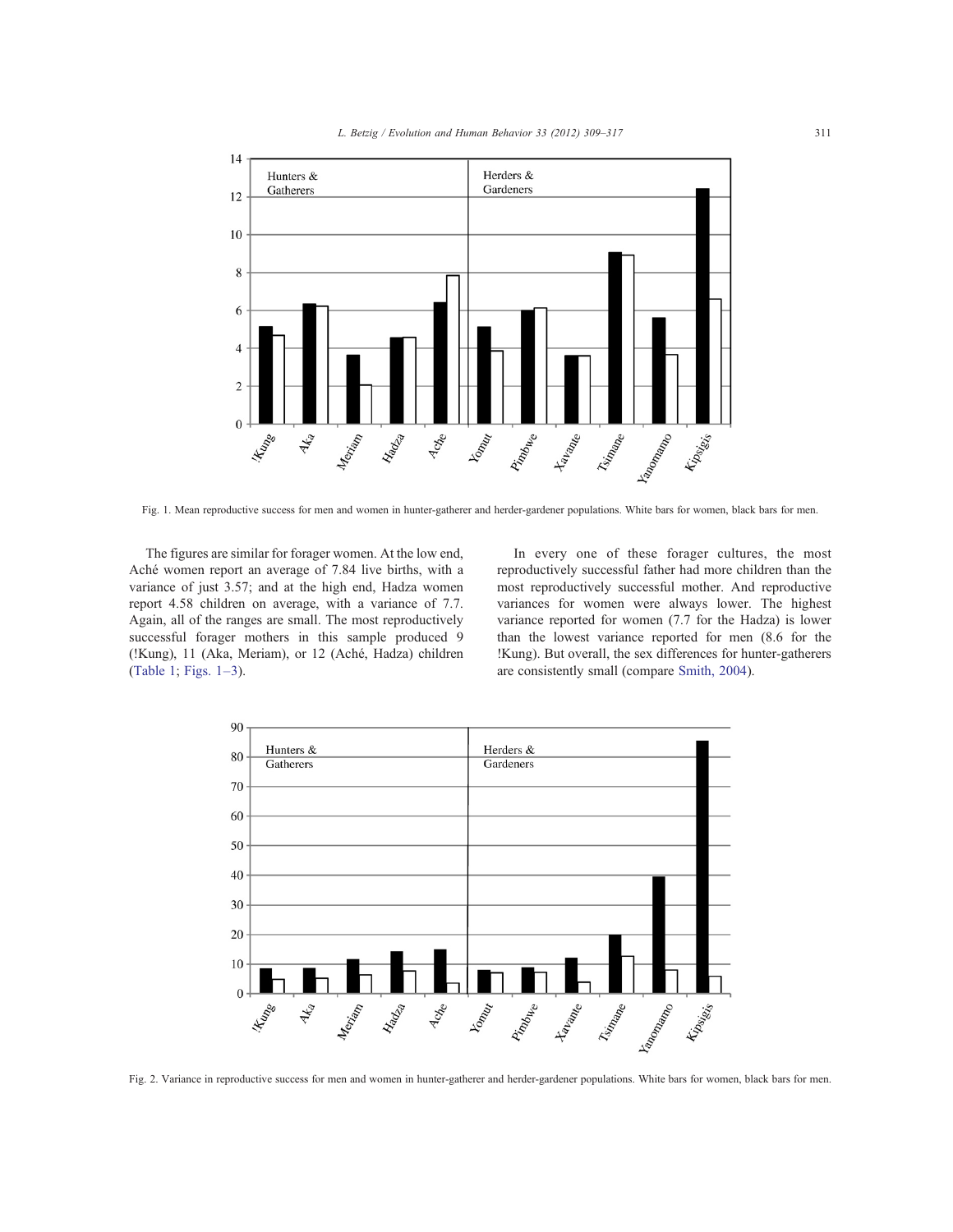

Fig. 1. Mean reproductive success for men and women in hunter-gatherer and herder-gardener populations. White bars for women, black bars for men.

The figures are similar for forager women. At the low end, Aché women report an average of 7.84 live births, with a variance of just 3.57; and at the high end, Hadza women report 4.58 children on average, with a variance of 7.7. Again, all of the ranges are small. The most reproductively successful forager mothers in this sample produced 9 (!Kung), 11 (Aka, Meriam), or 12 (Aché, Hadza) children (Table 1; Figs. 1–3).

In every one of these forager cultures, the most reproductively successful father had more children than the most reproductively successful mother. And reproductive variances for women were always lower. The highest variance reported for women (7.7 for the Hadza) is lower than the lowest variance reported for men (8.6 for the !Kung). But overall, the sex differences for hunter-gatherers are consistently small (compare Smith, 2004).



Fig. 2. Variance in reproductive success for men and women in hunter-gatherer and herder-gardener populations. White bars for women, black bars for men.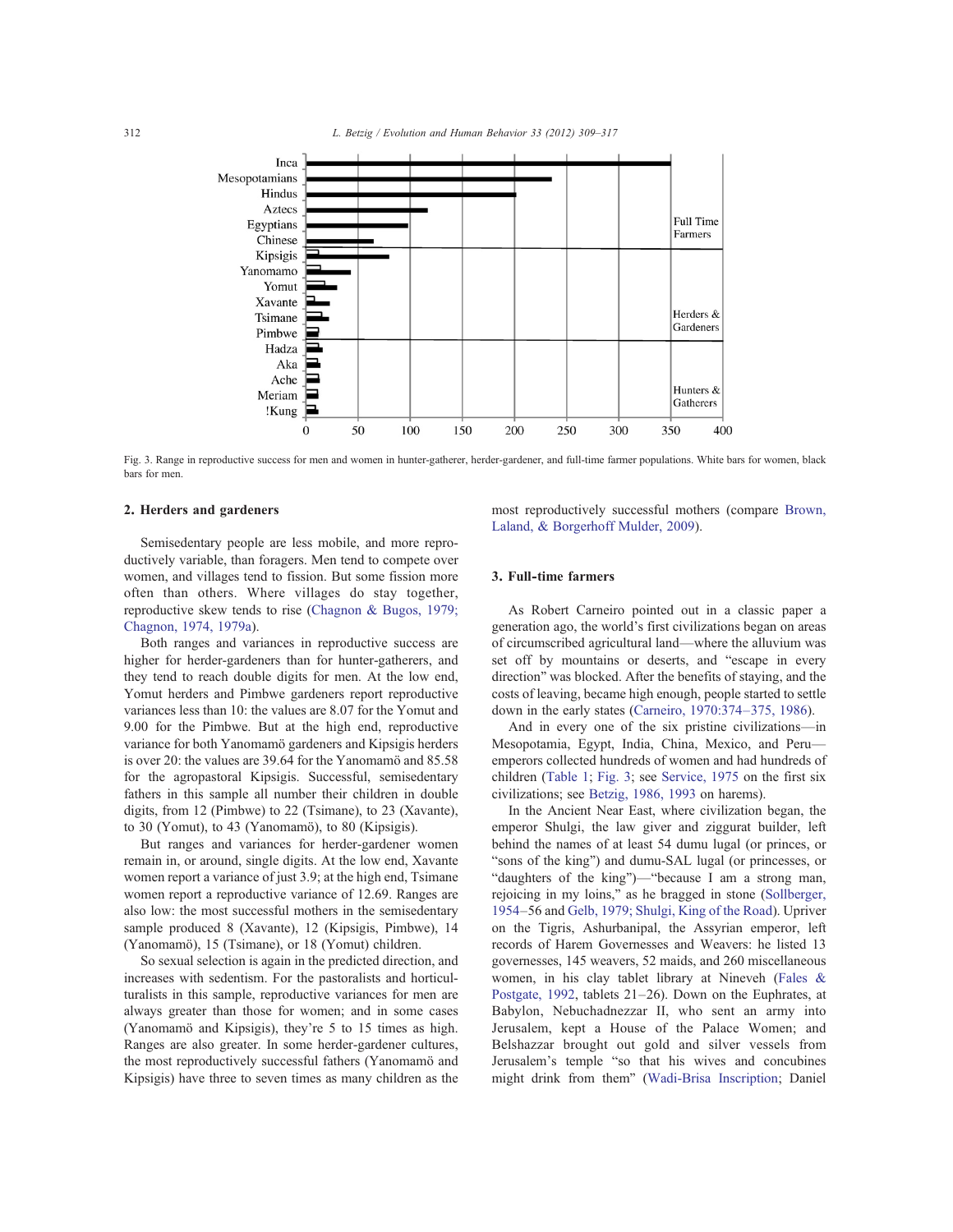

Fig. 3. Range in reproductive success for men and women in hunter-gatherer, herder-gardener, and full-time farmer populations. White bars for women, black bars for men.

### 2. Herders and gardeners

Semisedentary people are less mobile, and more reproductively variable, than foragers. Men tend to compete over women, and villages tend to fission. But some fission more often than others. Where villages do stay together, reproductive skew tends to rise (Chagnon & Bugos, 1979; Chagnon, 1974, 1979a).

Both ranges and variances in reproductive success are higher for herder-gardeners than for hunter-gatherers, and they tend to reach double digits for men. At the low end, Yomut herders and Pimbwe gardeners report reproductive variances less than 10: the values are 8.07 for the Yomut and 9.00 for the Pimbwe. But at the high end, reproductive variance for both Yanomamö gardeners and Kipsigis herders is over 20: the values are 39.64 for the Yanomamö and 85.58 for the agropastoral Kipsigis. Successful, semisedentary fathers in this sample all number their children in double digits, from 12 (Pimbwe) to 22 (Tsimane), to 23 (Xavante), to 30 (Yomut), to 43 (Yanomamö), to 80 (Kipsigis).

But ranges and variances for herder-gardener women remain in, or around, single digits. At the low end, Xavante women report a variance of just 3.9; at the high end, Tsimane women report a reproductive variance of 12.69. Ranges are also low: the most successful mothers in the semisedentary sample produced 8 (Xavante), 12 (Kipsigis, Pimbwe), 14 (Yanomamö), 15 (Tsimane), or 18 (Yomut) children.

So sexual selection is again in the predicted direction, and increases with sedentism. For the pastoralists and horticulturalists in this sample, reproductive variances for men are always greater than those for women; and in some cases (Yanomamö and Kipsigis), they're 5 to 15 times as high. Ranges are also greater. In some herder-gardener cultures, the most reproductively successful fathers (Yanomamö and Kipsigis) have three to seven times as many children as the most reproductively successful mothers (compare Brown, Laland, & Borgerhoff Mulder, 2009).

### 3. Full-time farmers

As Robert Carneiro pointed out in a classic paper a generation ago, the world's first civilizations began on areas of circumscribed agricultural land—where the alluvium was set off by mountains or deserts, and "escape in every direction" was blocked. After the benefits of staying, and the costs of leaving, became high enough, people started to settle down in the early states (Carneiro, 1970:374–375, 1986).

And in every one of the six pristine civilizations—in Mesopotamia, Egypt, India, China, Mexico, and Peru emperors collected hundreds of women and had hundreds of children (Table 1; Fig. 3; see Service, 1975 on the first six civilizations; see Betzig, 1986, 1993 on harems).

In the Ancient Near East, where civilization began, the emperor Shulgi, the law giver and ziggurat builder, left behind the names of at least 54 dumu lugal (or princes, or "sons of the king") and dumu-SAL lugal (or princesses, or "daughters of the king")—"because I am a strong man, rejoicing in my loins," as he bragged in stone (Sollberger, 1954–56 and Gelb, 1979; Shulgi, King of the Road). Upriver on the Tigris, Ashurbanipal, the Assyrian emperor, left records of Harem Governesses and Weavers: he listed 13 governesses, 145 weavers, 52 maids, and 260 miscellaneous women, in his clay tablet library at Nineveh (Fales & Postgate, 1992, tablets 21–26). Down on the Euphrates, at Babylon, Nebuchadnezzar II, who sent an army into Jerusalem, kept a House of the Palace Women; and Belshazzar brought out gold and silver vessels from Jerusalem's temple "so that his wives and concubines might drink from them" (Wadi-Brisa Inscription; Daniel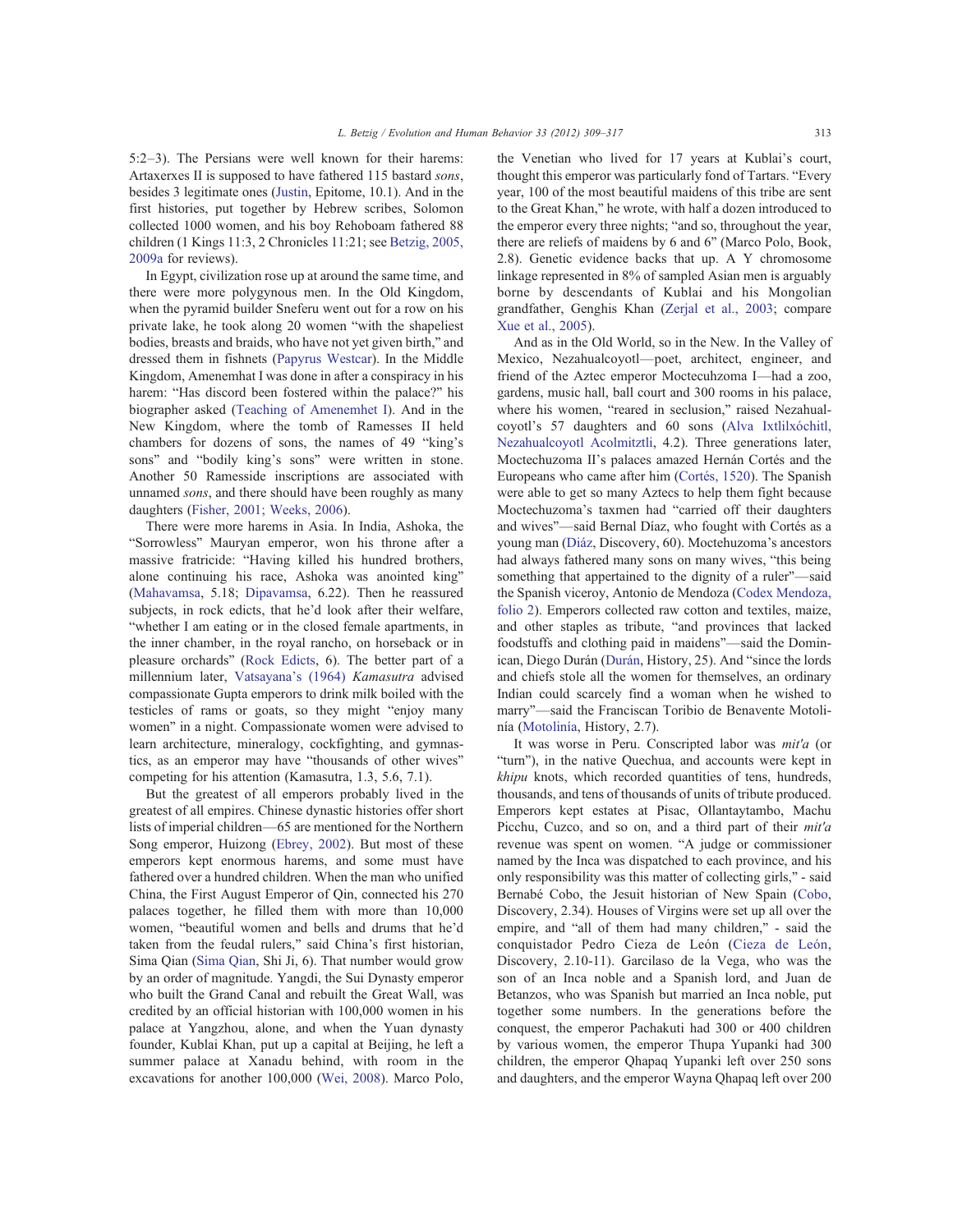5:2–3). The Persians were well known for their harems: Artaxerxes II is supposed to have fathered 115 bastard sons, besides 3 legitimate ones (Justin, Epitome, 10.1). And in the first histories, put together by Hebrew scribes, Solomon collected 1000 women, and his boy Rehoboam fathered 88 children (1 Kings 11:3, 2 Chronicles 11:21; see Betzig, 2005, 2009a for reviews).

In Egypt, civilization rose up at around the same time, and there were more polygynous men. In the Old Kingdom, when the pyramid builder Sneferu went out for a row on his private lake, he took along 20 women "with the shapeliest bodies, breasts and braids, who have not yet given birth," and dressed them in fishnets (Papyrus Westcar). In the Middle Kingdom, Amenemhat I was done in after a conspiracy in his harem: "Has discord been fostered within the palace?" his biographer asked (Teaching of Amenemhet I). And in the New Kingdom, where the tomb of Ramesses II held chambers for dozens of sons, the names of 49 "king's sons" and "bodily king's sons" were written in stone. Another 50 Ramesside inscriptions are associated with unnamed sons, and there should have been roughly as many daughters (Fisher, 2001; Weeks, 2006).

There were more harems in Asia. In India, Ashoka, the "Sorrowless" Mauryan emperor, won his throne after a massive fratricide: "Having killed his hundred brothers, alone continuing his race, Ashoka was anointed king" (Mahavamsa, 5.18; Dipavamsa, 6.22). Then he reassured subjects, in rock edicts, that he'd look after their welfare, "whether I am eating or in the closed female apartments, in the inner chamber, in the royal rancho, on horseback or in pleasure orchards" (Rock Edicts, 6). The better part of a millennium later, Vatsayana's (1964) Kamasutra advised compassionate Gupta emperors to drink milk boiled with the testicles of rams or goats, so they might "enjoy many women" in a night. Compassionate women were advised to learn architecture, mineralogy, cockfighting, and gymnastics, as an emperor may have "thousands of other wives" competing for his attention (Kamasutra, 1.3, 5.6, 7.1).

But the greatest of all emperors probably lived in the greatest of all empires. Chinese dynastic histories offer short lists of imperial children—65 are mentioned for the Northern Song emperor, Huizong (Ebrey, 2002). But most of these emperors kept enormous harems, and some must have fathered over a hundred children. When the man who unified China, the First August Emperor of Qin, connected his 270 palaces together, he filled them with more than 10,000 women, "beautiful women and bells and drums that he'd taken from the feudal rulers," said China's first historian, Sima Qian (Sima Qian, Shi Ji, 6). That number would grow by an order of magnitude. Yangdi, the Sui Dynasty emperor who built the Grand Canal and rebuilt the Great Wall, was credited by an official historian with 100,000 women in his palace at Yangzhou, alone, and when the Yuan dynasty founder, Kublai Khan, put up a capital at Beijing, he left a summer palace at Xanadu behind, with room in the excavations for another 100,000 (Wei, 2008). Marco Polo,

the Venetian who lived for 17 years at Kublai's court, thought this emperor was particularly fond of Tartars. "Every year, 100 of the most beautiful maidens of this tribe are sent to the Great Khan," he wrote, with half a dozen introduced to the emperor every three nights; "and so, throughout the year, there are reliefs of maidens by 6 and 6" (Marco Polo, Book, 2.8). Genetic evidence backs that up. A Y chromosome linkage represented in 8% of sampled Asian men is arguably borne by descendants of Kublai and his Mongolian grandfather, Genghis Khan (Zerjal et al., 2003; compare Xue et al., 2005).

And as in the Old World, so in the New. In the Valley of Mexico, Nezahualcoyotl—poet, architect, engineer, and friend of the Aztec emperor Moctecuhzoma I—had a zoo, gardens, music hall, ball court and 300 rooms in his palace, where his women, "reared in seclusion," raised Nezahualcoyotl's 57 daughters and 60 sons (Alva Ixtlilxóchitl, Nezahualcoyotl Acolmitztli, 4.2). Three generations later, Moctechuzoma II's palaces amazed Hernán Cortés and the Europeans who came after him (Cortés, 1520). The Spanish were able to get so many Aztecs to help them fight because Moctechuzoma's taxmen had "carried off their daughters and wives"—said Bernal Díaz, who fought with Cortés as a young man (Diáz, Discovery, 60). Moctehuzoma's ancestors had always fathered many sons on many wives, "this being something that appertained to the dignity of a ruler"—said the Spanish viceroy, Antonio de Mendoza (Codex Mendoza, folio 2). Emperors collected raw cotton and textiles, maize, and other staples as tribute, "and provinces that lacked foodstuffs and clothing paid in maidens"—said the Dominican, Diego Durán (Durán, History, 25). And "since the lords and chiefs stole all the women for themselves, an ordinary Indian could scarcely find a woman when he wished to marry"—said the Franciscan Toribio de Benavente Motolinía (Motolinía, History, 2.7).

It was worse in Peru. Conscripted labor was mit'a (or "turn"), in the native Quechua, and accounts were kept in khipu knots, which recorded quantities of tens, hundreds, thousands, and tens of thousands of units of tribute produced. Emperors kept estates at Pisac, Ollantaytambo, Machu Picchu, Cuzco, and so on, and a third part of their mit'a revenue was spent on women. "A judge or commissioner named by the Inca was dispatched to each province, and his only responsibility was this matter of collecting girls," - said Bernabé Cobo, the Jesuit historian of New Spain (Cobo, Discovery, 2.34). Houses of Virgins were set up all over the empire, and "all of them had many children," - said the conquistador Pedro Cieza de León (Cieza de León, Discovery, 2.10-11). Garcilaso de la Vega, who was the son of an Inca noble and a Spanish lord, and Juan de Betanzos, who was Spanish but married an Inca noble, put together some numbers. In the generations before the conquest, the emperor Pachakuti had 300 or 400 children by various women, the emperor Thupa Yupanki had 300 children, the emperor Qhapaq Yupanki left over 250 sons and daughters, and the emperor Wayna Qhapaq left over 200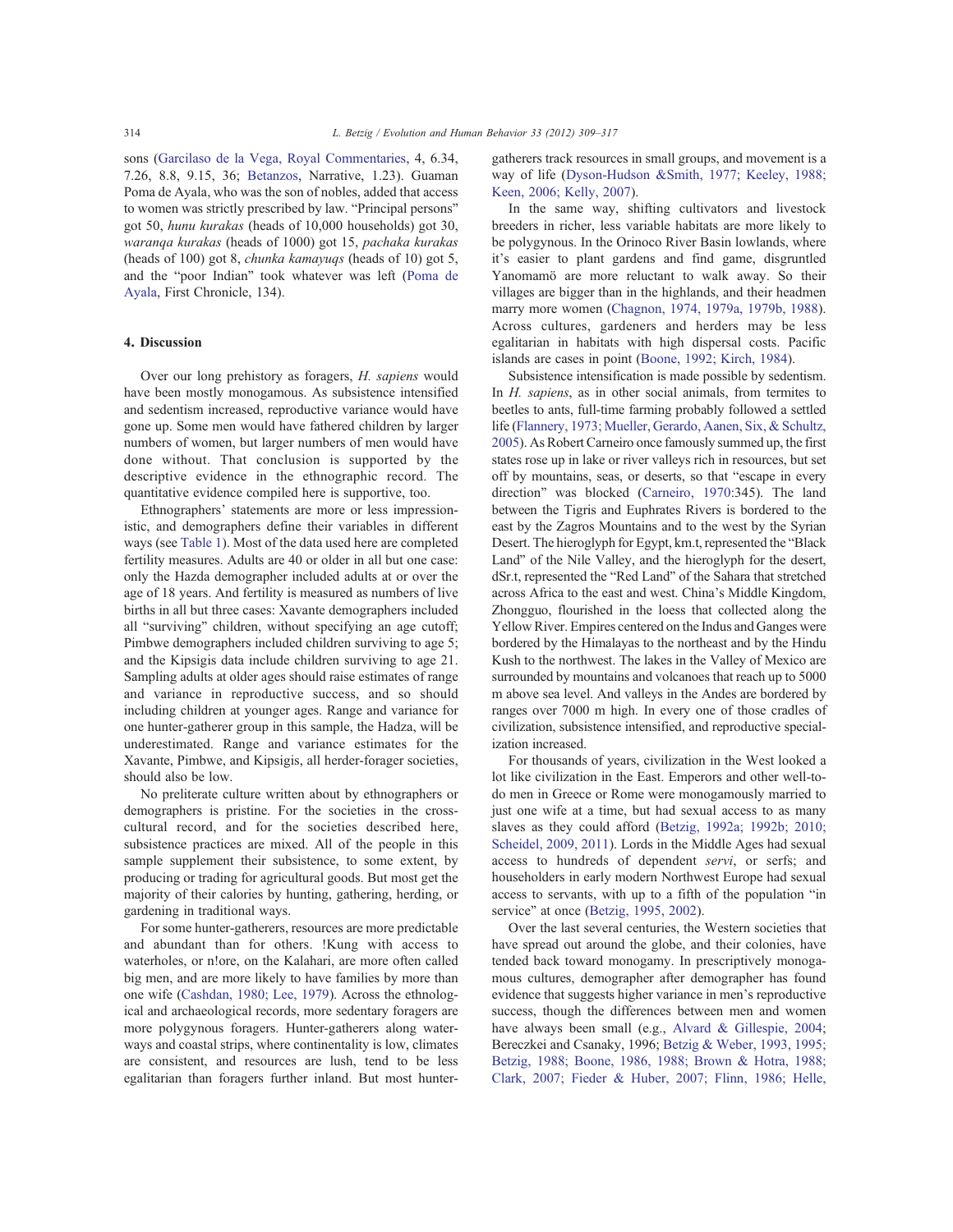sons (Garcilaso de la Vega, Royal Commentaries, 4, 6.34, 7.26, 8.8, 9.15, 36; Betanzos, Narrative, 1.23). Guaman Poma de Ayala, who was the son of nobles, added that access to women was strictly prescribed by law. "Principal persons" got 50, hunu kurakas (heads of 10,000 households) got 30, waranqa kurakas (heads of 1000) got 15, pachaka kurakas (heads of 100) got 8, chunka kamayuqs (heads of 10) got 5, and the "poor Indian" took whatever was left (Poma de Ayala, First Chronicle, 134).

# 4. Discussion

Over our long prehistory as foragers, H. sapiens would have been mostly monogamous. As subsistence intensified and sedentism increased, reproductive variance would have gone up. Some men would have fathered children by larger numbers of women, but larger numbers of men would have done without. That conclusion is supported by the descriptive evidence in the ethnographic record. The quantitative evidence compiled here is supportive, too.

Ethnographers' statements are more or less impressionistic, and demographers define their variables in different ways (see Table 1). Most of the data used here are completed fertility measures. Adults are 40 or older in all but one case: only the Hazda demographer included adults at or over the age of 18 years. And fertility is measured as numbers of live births in all but three cases: Xavante demographers included all "surviving" children, without specifying an age cutoff; Pimbwe demographers included children surviving to age 5; and the Kipsigis data include children surviving to age 21. Sampling adults at older ages should raise estimates of range and variance in reproductive success, and so should including children at younger ages. Range and variance for one hunter-gatherer group in this sample, the Hadza, will be underestimated. Range and variance estimates for the Xavante, Pimbwe, and Kipsigis, all herder-forager societies, should also be low.

No preliterate culture written about by ethnographers or demographers is pristine. For the societies in the crosscultural record, and for the societies described here, subsistence practices are mixed. All of the people in this sample supplement their subsistence, to some extent, by producing or trading for agricultural goods. But most get the majority of their calories by hunting, gathering, herding, or gardening in traditional ways.

For some hunter-gatherers, resources are more predictable and abundant than for others. !Kung with access to waterholes, or n!ore, on the Kalahari, are more often called big men, and are more likely to have families by more than one wife (Cashdan, 1980; Lee, 1979). Across the ethnological and archaeological records, more sedentary foragers are more polygynous foragers. Hunter-gatherers along waterways and coastal strips, where continentality is low, climates are consistent, and resources are lush, tend to be less egalitarian than foragers further inland. But most huntergatherers track resources in small groups, and movement is a way of life (Dyson-Hudson &Smith, 1977; Keeley, 1988; Keen, 2006; Kelly, 2007).

In the same way, shifting cultivators and livestock breeders in richer, less variable habitats are more likely to be polygynous. In the Orinoco River Basin lowlands, where it's easier to plant gardens and find game, disgruntled Yanomamö are more reluctant to walk away. So their villages are bigger than in the highlands, and their headmen marry more women (Chagnon, 1974, 1979a, 1979b, 1988). Across cultures, gardeners and herders may be less egalitarian in habitats with high dispersal costs. Pacific islands are cases in point (Boone, 1992; Kirch, 1984).

Subsistence intensification is made possible by sedentism. In *H. sapiens*, as in other social animals, from termites to beetles to ants, full-time farming probably followed a settled life (Flannery, 1973; Mueller, Gerardo, Aanen, Six, & Schultz, 2005). As Robert Carneiro once famously summed up, the first states rose up in lake or river valleys rich in resources, but set off by mountains, seas, or deserts, so that "escape in every direction" was blocked (Carneiro, 1970:345). The land between the Tigris and Euphrates Rivers is bordered to the east by the Zagros Mountains and to the west by the Syrian Desert. The hieroglyph for Egypt, km.t, represented the "Black Land" of the Nile Valley, and the hieroglyph for the desert, dSr.t, represented the "Red Land" of the Sahara that stretched across Africa to the east and west. China's Middle Kingdom, Zhongguo, flourished in the loess that collected along the Yellow River. Empires centered on the Indus and Ganges were bordered by the Himalayas to the northeast and by the Hindu Kush to the northwest. The lakes in the Valley of Mexico are surrounded by mountains and volcanoes that reach up to 5000 m above sea level. And valleys in the Andes are bordered by ranges over 7000 m high. In every one of those cradles of civilization, subsistence intensified, and reproductive specialization increased.

For thousands of years, civilization in the West looked a lot like civilization in the East. Emperors and other well-todo men in Greece or Rome were monogamously married to just one wife at a time, but had sexual access to as many slaves as they could afford (Betzig, 1992a; 1992b; 2010; Scheidel, 2009, 2011). Lords in the Middle Ages had sexual access to hundreds of dependent servi, or serfs; and householders in early modern Northwest Europe had sexual access to servants, with up to a fifth of the population "in service" at once (Betzig, 1995, 2002).

Over the last several centuries, the Western societies that have spread out around the globe, and their colonies, have tended back toward monogamy. In prescriptively monogamous cultures, demographer after demographer has found evidence that suggests higher variance in men's reproductive success, though the differences between men and women have always been small (e.g., Alvard & Gillespie, 2004; Bereczkei and Csanaky, 1996; Betzig & Weber, 1993, 1995; Betzig, 1988; Boone, 1986, 1988; Brown & Hotra, 1988; Clark, 2007; Fieder & Huber, 2007; Flinn, 1986; Helle,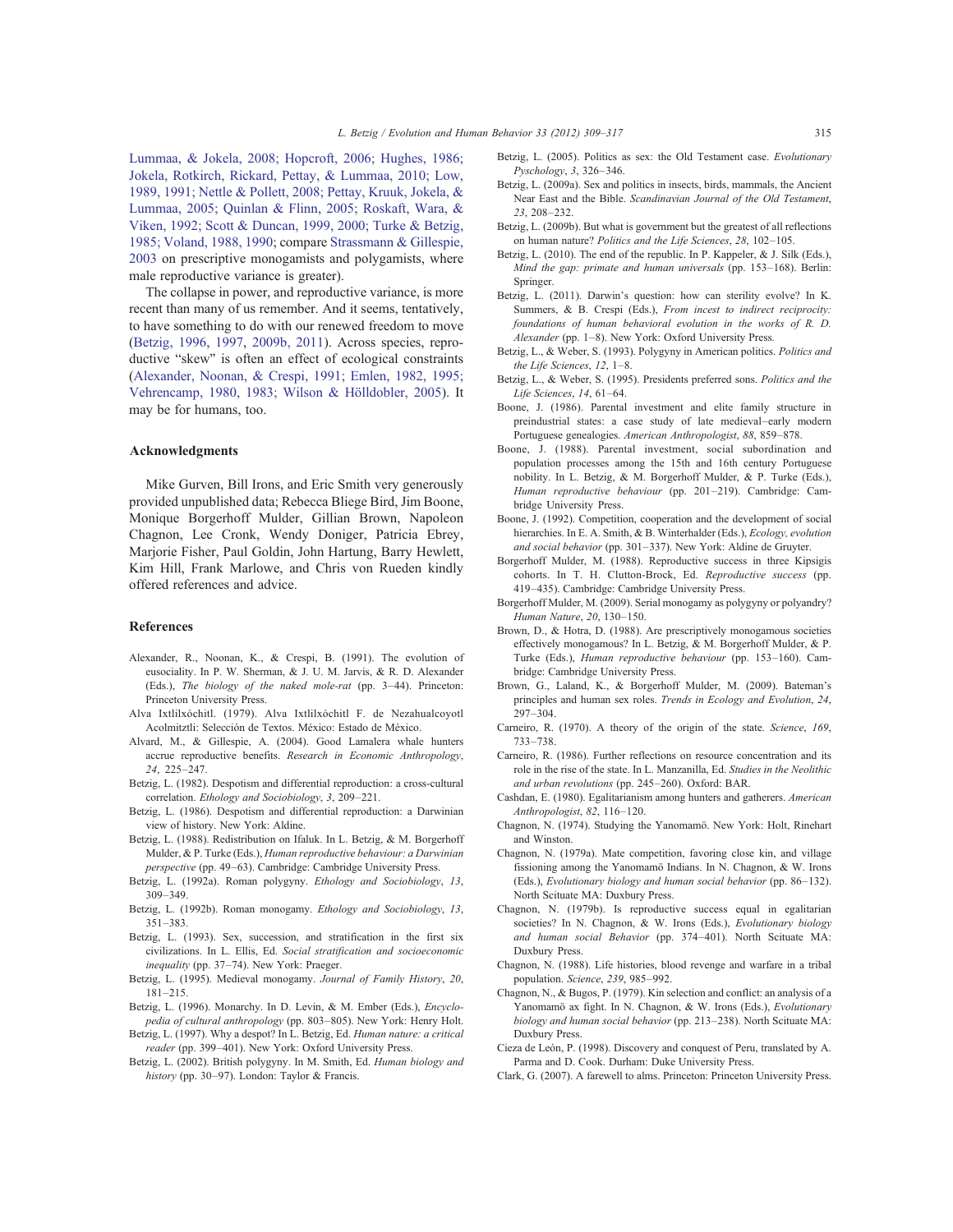Lummaa, & Jokela, 2008; Hopcroft, 2006; Hughes, 1986; Jokela, Rotkirch, Rickard, Pettay, & Lummaa, 2010; Low, 1989, 1991; Nettle & Pollett, 2008; Pettay, Kruuk, Jokela, & Lummaa, 2005; Quinlan & Flinn, 2005; Roskaft, Wara, & Viken, 1992; Scott & Duncan, 1999, 2000; Turke & Betzig, 1985; Voland, 1988, 1990; compare Strassmann & Gillespie, 2003 on prescriptive monogamists and polygamists, where male reproductive variance is greater).

The collapse in power, and reproductive variance, is more recent than many of us remember. And it seems, tentatively, to have something to do with our renewed freedom to move (Betzig, 1996, 1997, 2009b, 2011). Across species, reproductive "skew" is often an effect of ecological constraints (Alexander, Noonan, & Crespi, 1991; Emlen, 1982, 1995; Vehrencamp, 1980, 1983; Wilson & Hölldobler, 2005). It may be for humans, too.

## Acknowledgments

Mike Gurven, Bill Irons, and Eric Smith very generously provided unpublished data; Rebecca Bliege Bird, Jim Boone, Monique Borgerhoff Mulder, Gillian Brown, Napoleon Chagnon, Lee Cronk, Wendy Doniger, Patricia Ebrey, Marjorie Fisher, Paul Goldin, John Hartung, Barry Hewlett, Kim Hill, Frank Marlowe, and Chris von Rueden kindly offered references and advice.

#### References

- Alexander, R., Noonan, K., & Crespi, B. (1991). The evolution of eusociality. In P. W. Sherman, & J. U. M. Jarvis, & R. D. Alexander (Eds.), The biology of the naked mole-rat (pp. 3–44). Princeton: Princeton University Press.
- Alva Ixtlilxóchitl. (1979). Alva Ixtlilxóchitl F. de Nezahualcoyotl Acolmitztli: Selección de Textos. México: Estado de México.
- Alvard, M., & Gillespie, A. (2004). Good Lamalera whale hunters accrue reproductive benefits. Research in Economic Anthropology, 24, 225–247.
- Betzig, L. (1982). Despotism and differential reproduction: a cross-cultural correlation. Ethology and Sociobiology, 3, 209–221.
- Betzig, L. (1986). Despotism and differential reproduction: a Darwinian view of history. New York: Aldine.
- Betzig, L. (1988). Redistribution on Ifaluk. In L. Betzig, & M. Borgerhoff Mulder, & P. Turke (Eds.), Human reproductive behaviour: a Darwinian perspective (pp. 49–63). Cambridge: Cambridge University Press.
- Betzig, L. (1992a). Roman polygyny. Ethology and Sociobiology, 13, 309–349.
- Betzig, L. (1992b). Roman monogamy. Ethology and Sociobiology, 13, 351–383.
- Betzig, L. (1993). Sex, succession, and stratification in the first six civilizations. In L. Ellis, Ed. Social stratification and socioeconomic inequality (pp. 37-74). New York: Praeger.
- Betzig, L. (1995). Medieval monogamy. Journal of Family History, 20, 181–215.
- Betzig, L. (1996). Monarchy. In D. Levin, & M. Ember (Eds.), *Encyclo*pedia of cultural anthropology (pp. 803–805). New York: Henry Holt.
- Betzig, L. (1997). Why a despot? In L. Betzig, Ed. Human nature: a critical reader (pp. 399–401). New York: Oxford University Press.
- Betzig, L. (2002). British polygyny. In M. Smith, Ed. Human biology and history (pp. 30–97). London: Taylor & Francis.
- Betzig, L. (2005). Politics as sex: the Old Testament case. Evolutionary Pyschology, 3, 326–346.
- Betzig, L. (2009a). Sex and politics in insects, birds, mammals, the Ancient Near East and the Bible. Scandinavian Journal of the Old Testament, 23, 208–232.
- Betzig, L. (2009b). But what is government but the greatest of all reflections on human nature? Politics and the Life Sciences, 28, 102–105.
- Betzig, L. (2010). The end of the republic. In P. Kappeler, & J. Silk (Eds.), Mind the gap: primate and human universals (pp. 153–168). Berlin: Springer.
- Betzig, L. (2011). Darwin's question: how can sterility evolve? In K. Summers, & B. Crespi (Eds.), From incest to indirect reciprocity: foundations of human behavioral evolution in the works of R. D. Alexander (pp. 1–8). New York: Oxford University Press.
- Betzig, L., & Weber, S. (1993). Polygyny in American politics. Politics and the Life Sciences, 12, 1–8.
- Betzig, L., & Weber, S. (1995). Presidents preferred sons. Politics and the Life Sciences, 14, 61–64.
- Boone, J. (1986). Parental investment and elite family structure in preindustrial states: a case study of late medieval–early modern Portuguese genealogies. American Anthropologist, 88, 859–878.
- Boone, J. (1988). Parental investment, social subordination and population processes among the 15th and 16th century Portuguese nobility. In L. Betzig, & M. Borgerhoff Mulder, & P. Turke (Eds.), Human reproductive behaviour (pp. 201–219). Cambridge: Cambridge University Press.
- Boone, J. (1992). Competition, cooperation and the development of social hierarchies. In E. A. Smith, & B. Winterhalder (Eds.), Ecology, evolution and social behavior (pp. 301–337). New York: Aldine de Gruyter.
- Borgerhoff Mulder, M. (1988). Reproductive success in three Kipsigis cohorts. In T. H. Clutton-Brock, Ed. Reproductive success (pp. 419–435). Cambridge: Cambridge University Press.
- Borgerhoff Mulder, M. (2009). Serial monogamy as polygyny or polyandry? Human Nature, 20, 130–150.
- Brown, D., & Hotra, D. (1988). Are prescriptively monogamous societies effectively monogamous? In L. Betzig, & M. Borgerhoff Mulder, & P. Turke (Eds.), Human reproductive behaviour (pp. 153–160). Cambridge: Cambridge University Press.
- Brown, G., Laland, K., & Borgerhoff Mulder, M. (2009). Bateman's principles and human sex roles. Trends in Ecology and Evolution, 24, 297–304.
- Carneiro, R. (1970). A theory of the origin of the state. Science, 169, 733–738.
- Carneiro, R. (1986). Further reflections on resource concentration and its role in the rise of the state. In L. Manzanilla, Ed. Studies in the Neolithic and urban revolutions (pp. 245–260). Oxford: BAR.
- Cashdan, E. (1980). Egalitarianism among hunters and gatherers. American Anthropologist, 82, 116–120.
- Chagnon, N. (1974). Studying the Yanomamö. New York: Holt, Rinehart and Winston.
- Chagnon, N. (1979a). Mate competition, favoring close kin, and village fissioning among the Yanomamö Indians. In N. Chagnon, & W. Irons (Eds.), Evolutionary biology and human social behavior (pp. 86–132). North Scituate MA: Duxbury Press.
- Chagnon, N. (1979b). Is reproductive success equal in egalitarian societies? In N. Chagnon, & W. Irons (Eds.), Evolutionary biology and human social Behavior (pp. 374–401). North Scituate MA: Duxbury Press.
- Chagnon, N. (1988). Life histories, blood revenge and warfare in a tribal population. Science, 239, 985–992.
- Chagnon, N., & Bugos, P. (1979). Kin selection and conflict: an analysis of a Yanomamö ax fight. In N. Chagnon, & W. Irons (Eds.), Evolutionary biology and human social behavior (pp. 213–238). North Scituate MA: Duxbury Press.
- Cieza de León, P. (1998). Discovery and conquest of Peru, translated by A. Parma and D. Cook. Durham: Duke University Press.
- Clark, G. (2007). A farewell to alms. Princeton: Princeton University Press.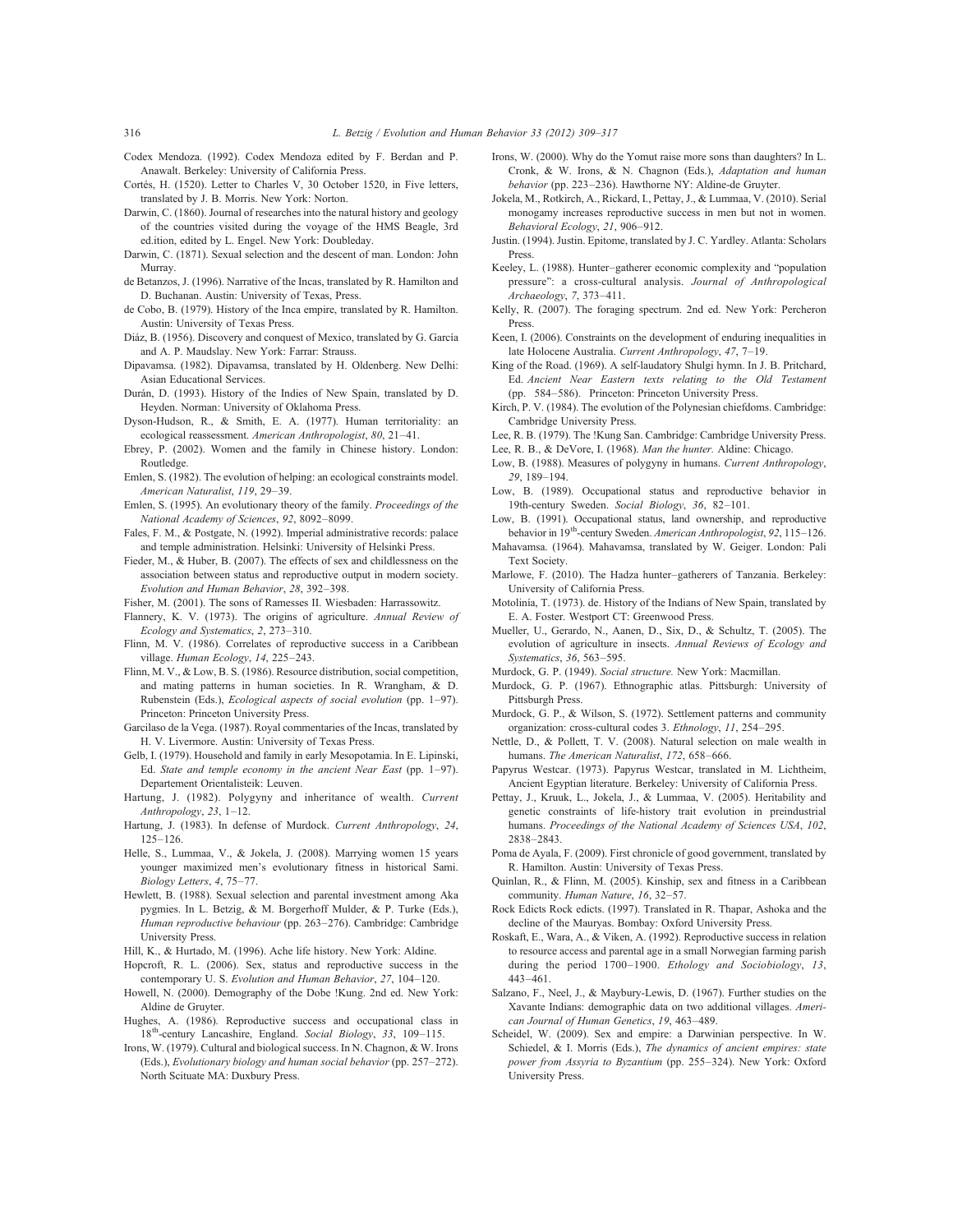- Codex Mendoza. (1992). Codex Mendoza edited by F. Berdan and P. Anawalt. Berkeley: University of California Press.
- Cortés, H. (1520). Letter to Charles V, 30 October 1520, in Five letters, translated by J. B. Morris. New York: Norton.
- Darwin, C. (1860). Journal of researches into the natural history and geology of the countries visited during the voyage of the HMS Beagle, 3rd ed.ition, edited by L. Engel. New York: Doubleday.
- Darwin, C. (1871). Sexual selection and the descent of man. London: John Murray.
- de Betanzos, J. (1996). Narrative of the Incas, translated by R. Hamilton and D. Buchanan. Austin: University of Texas, Press.
- de Cobo, B. (1979). History of the Inca empire, translated by R. Hamilton. Austin: University of Texas Press.
- Diáz, B. (1956). Discovery and conquest of Mexico, translated by G. García and A. P. Maudslay. New York: Farrar: Strauss.
- Dipavamsa. (1982). Dipavamsa, translated by H. Oldenberg. New Delhi: Asian Educational Services.
- Durán, D. (1993). History of the Indies of New Spain, translated by D. Heyden. Norman: University of Oklahoma Press.
- Dyson-Hudson, R., & Smith, E. A. (1977). Human territoriality: an ecological reassessment. American Anthropologist, 80, 21–41.
- Ebrey, P. (2002). Women and the family in Chinese history. London: Routledge.
- Emlen, S. (1982). The evolution of helping: an ecological constraints model. American Naturalist, 119, 29–39.
- Emlen, S. (1995). An evolutionary theory of the family. Proceedings of the National Academy of Sciences, 92, 8092–8099.
- Fales, F. M., & Postgate, N. (1992). Imperial administrative records: palace and temple administration. Helsinki: University of Helsinki Press.
- Fieder, M., & Huber, B. (2007). The effects of sex and childlessness on the association between status and reproductive output in modern society. Evolution and Human Behavior, 28, 392–398.
- Fisher, M. (2001). The sons of Ramesses II. Wiesbaden: Harrassowitz.
- Flannery, K. V. (1973). The origins of agriculture. Annual Review of Ecology and Systematics, 2, 273–310.
- Flinn, M. V. (1986). Correlates of reproductive success in a Caribbean village. Human Ecology, 14, 225–243.
- Flinn, M. V., & Low, B. S. (1986). Resource distribution, social competition, and mating patterns in human societies. In R. Wrangham, & D. Rubenstein (Eds.), Ecological aspects of social evolution (pp. 1–97). Princeton: Princeton University Press.
- Garcilaso de la Vega. (1987). Royal commentaries of the Incas, translated by H. V. Livermore. Austin: University of Texas Press.
- Gelb, I. (1979). Household and family in early Mesopotamia. In E. Lipinski, Ed. State and temple economy in the ancient Near East (pp. 1–97). Departement Orientalisteik: Leuven.
- Hartung, J. (1982). Polygyny and inheritance of wealth. Current Anthropology, 23, 1–12.
- Hartung, J. (1983). In defense of Murdock. Current Anthropology, 24, 125–126.
- Helle, S., Lummaa, V., & Jokela, J. (2008). Marrying women 15 years younger maximized men's evolutionary fitness in historical Sami. Biology Letters, 4, 75–77.
- Hewlett, B. (1988). Sexual selection and parental investment among Aka pygmies. In L. Betzig, & M. Borgerhoff Mulder, & P. Turke (Eds.), Human reproductive behaviour (pp. 263–276). Cambridge: Cambridge University Press.
- Hill, K., & Hurtado, M. (1996). Ache life history. New York: Aldine.
- Hopcroft, R. L. (2006). Sex, status and reproductive success in the contemporary U. S. Evolution and Human Behavior, 27, 104–120.
- Howell, N. (2000). Demography of the Dobe !Kung. 2nd ed. New York: Aldine de Gruyter.
- Hughes, A. (1986). Reproductive success and occupational class in 18<sup>th</sup>-century Lancashire, England. Social Biology, 33, 109-115.
- Irons, W. (1979). Cultural and biological success. In N. Chagnon, & W. Irons (Eds.), Evolutionary biology and human social behavior (pp. 257–272). North Scituate MA: Duxbury Press.
- Irons, W. (2000). Why do the Yomut raise more sons than daughters? In L. Cronk, & W. Irons, & N. Chagnon (Eds.), Adaptation and human behavior (pp. 223–236). Hawthorne NY: Aldine-de Gruyter.
- Jokela, M., Rotkirch, A., Rickard, I., Pettay, J., & Lummaa, V. (2010). Serial monogamy increases reproductive success in men but not in women. Behavioral Ecology, 21, 906–912.
- Justin. (1994). Justin. Epitome, translated by J. C. Yardley. Atlanta: Scholars Press.
- Keeley, L. (1988). Hunter–gatherer economic complexity and "population pressure": a cross-cultural analysis. Journal of Anthropological Archaeology, 7, 373–411.
- Kelly, R. (2007). The foraging spectrum. 2nd ed. New York: Percheron Press.
- Keen, I. (2006). Constraints on the development of enduring inequalities in late Holocene Australia. Current Anthropology, 47, 7–19.
- King of the Road. (1969). A self-laudatory Shulgi hymn. In J. B. Pritchard, Ed. Ancient Near Eastern texts relating to the Old Testament (pp. 584–586). Princeton: Princeton University Press.
- Kirch, P. V. (1984). The evolution of the Polynesian chiefdoms. Cambridge: Cambridge University Press.
- Lee, R. B. (1979). The !Kung San. Cambridge: Cambridge University Press. Lee, R. B., & DeVore, I. (1968). Man the hunter. Aldine: Chicago.
- Low, B. (1988). Measures of polygyny in humans. Current Anthropology, 29, 189–194.
- Low, B. (1989). Occupational status and reproductive behavior in 19th-century Sweden. Social Biology, 36, 82–101.
- Low, B. (1991). Occupational status, land ownership, and reproductive behavior in 19<sup>th</sup>-century Sweden. American Anthropologist, 92, 115–126.
- Mahavamsa. (1964). Mahavamsa, translated by W. Geiger. London: Pali Text Society.
- Marlowe, F. (2010). The Hadza hunter–gatherers of Tanzania. Berkeley: University of California Press.
- Motolinía, T. (1973). de. History of the Indians of New Spain, translated by E. A. Foster. Westport CT: Greenwood Press.
- Mueller, U., Gerardo, N., Aanen, D., Six, D., & Schultz, T. (2005). The evolution of agriculture in insects. Annual Reviews of Ecology and Systematics, 36, 563–595.
- Murdock, G. P. (1949). Social structure. New York: Macmillan.
- Murdock, G. P. (1967). Ethnographic atlas. Pittsburgh: University of Pittsburgh Press.
- Murdock, G. P., & Wilson, S. (1972). Settlement patterns and community organization: cross-cultural codes 3. Ethnology, 11, 254–295.
- Nettle, D., & Pollett, T. V. (2008). Natural selection on male wealth in humans. The American Naturalist, 172, 658–666.
- Papyrus Westcar. (1973). Papyrus Westcar, translated in M. Lichtheim, Ancient Egyptian literature. Berkeley: University of California Press.
- Pettay, J., Kruuk, L., Jokela, J., & Lummaa, V. (2005). Heritability and genetic constraints of life-history trait evolution in preindustrial humans. Proceedings of the National Academy of Sciences USA, 102, 2838–2843.
- Poma de Ayala, F. (2009). First chronicle of good government, translated by R. Hamilton. Austin: University of Texas Press.
- Quinlan, R., & Flinn, M. (2005). Kinship, sex and fitness in a Caribbean community. Human Nature, 16, 32–57.
- Rock Edicts Rock edicts. (1997). Translated in R. Thapar, Ashoka and the decline of the Mauryas. Bombay: Oxford University Press.
- Roskaft, E., Wara, A., & Viken, A. (1992). Reproductive success in relation to resource access and parental age in a small Norwegian farming parish during the period 1700–1900. Ethology and Sociobiology, 13, 443–461.
- Salzano, F., Neel, J., & Maybury-Lewis, D. (1967). Further studies on the Xavante Indians: demographic data on two additional villages. American Journal of Human Genetics, 19, 463–489.
- Scheidel, W. (2009). Sex and empire: a Darwinian perspective. In W. Schiedel, & I. Morris (Eds.), *The dynamics of ancient empires: state* power from Assyria to Byzantium (pp. 255–324). New York: Oxford University Press.